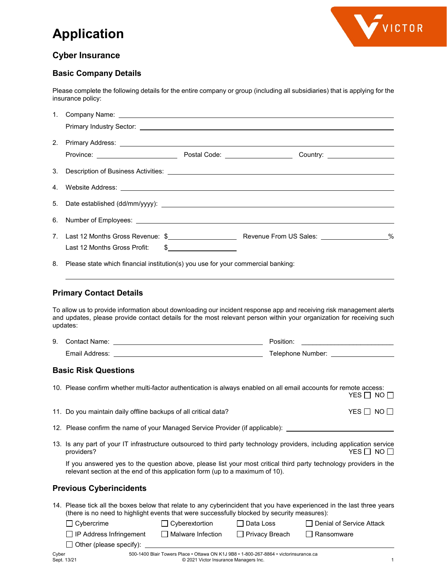# **Application**



# **Cyber Insurance**

## **Basic Company Details**

Please complete the following details for the entire company or group (including all subsidiaries) that is applying for the insurance policy:

|    | 1. Company Name:<br><u> 1989 - Johann Stoff, deutscher Stoffen und der Stoffen und der Stoffen und der Stoffen und der Stoffen und der</u>                                                                                                                                                                   |  |  |  |
|----|--------------------------------------------------------------------------------------------------------------------------------------------------------------------------------------------------------------------------------------------------------------------------------------------------------------|--|--|--|
|    | Primary Industry Sector: <u>Contract of the Contract of Contract of Contract of Contract of Contract of Contract of Contract of Contract of Contract of Contract of Contract of Contract of Contract of Contract of Contract of </u>                                                                         |  |  |  |
| 2. |                                                                                                                                                                                                                                                                                                              |  |  |  |
|    |                                                                                                                                                                                                                                                                                                              |  |  |  |
| 3. |                                                                                                                                                                                                                                                                                                              |  |  |  |
| 4. | Website Address: <u>New York and State and State and State and State and State and State and State and State and State and State and State and State and State and State and State and State and State and State and State and S</u>                                                                         |  |  |  |
| 5. |                                                                                                                                                                                                                                                                                                              |  |  |  |
| 6. | Number of Employees: <u>example and the set of the set of the set of the set of the set of the set of the set of the set of the set of the set of the set of the set of the set of the set of the set of the set of the set of t</u>                                                                         |  |  |  |
| 7. | Last 12 Months Gross Profit:<br>$\frac{1}{2}$                                                                                                                                                                                                                                                                |  |  |  |
| 8. | Please state which financial institution(s) you use for your commercial banking:                                                                                                                                                                                                                             |  |  |  |
|    | <b>Primary Contact Details</b>                                                                                                                                                                                                                                                                               |  |  |  |
|    | To allow us to provide information about downloading our incident response app and receiving risk management alerts<br>and updates, please provide contact details for the most relevant person within your organization for receiving such<br>updates:                                                      |  |  |  |
| 9. |                                                                                                                                                                                                                                                                                                              |  |  |  |
|    |                                                                                                                                                                                                                                                                                                              |  |  |  |
|    | <b>Basic Risk Questions</b>                                                                                                                                                                                                                                                                                  |  |  |  |
|    | 10. Please confirm whether multi-factor authentication is always enabled on all email accounts for remote access:<br>YES $\Box$ No $\Box$                                                                                                                                                                    |  |  |  |
|    | 11. Do you maintain daily offline backups of all critical data?<br>YES $\Box$ NO $\Box$                                                                                                                                                                                                                      |  |  |  |
|    | 12. Please confirm the name of your Managed Service Provider (if applicable):                                                                                                                                                                                                                                |  |  |  |
|    | 13. Is any part of your IT infrastructure outsourced to third party technology providers, including application service<br>providers?<br>YES ∏ NO ∏                                                                                                                                                          |  |  |  |
|    | If you answered yes to the question above, please list your most critical third party technology providers in the<br>relevant section at the end of this application form (up to a maximum of 10).                                                                                                           |  |  |  |
|    | <b>Previous Cyberincidents</b>                                                                                                                                                                                                                                                                               |  |  |  |
|    | 14. Please tick all the boxes below that relate to any cyberincident that you have experienced in the last three years<br>(there is no need to highlight events that were successfully blocked by security measures):<br>Cybercrime<br>$\Box$ Cyberextortion<br>$\Box$ Data Loss<br>Denial of Service Attack |  |  |  |
|    | IP Address Infringement<br>$\Box$ Malware Infection<br>$\Box$ Privacy Breach<br>Ransomware<br>Other (please specify):                                                                                                                                                                                        |  |  |  |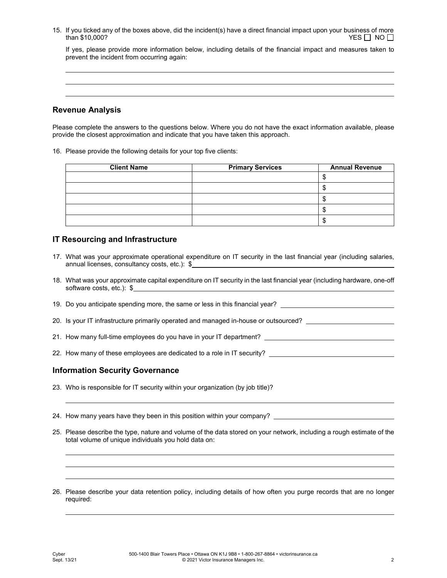15. If you ticked any of the boxes above, did the incident(s) have a direct financial impact upon your business of more<br>TES  $\Box$  NO  $than $10,000?$ 

If yes, please provide more information below, including details of the financial impact and measures taken to prevent the incident from occurring again:

## **Revenue Analysis**

Please complete the answers to the questions below. Where you do not have the exact information available, please provide the closest approximation and indicate that you have taken this approach.

16. Please provide the following details for your top five clients:

| <b>Client Name</b> | <b>Primary Services</b> | <b>Annual Revenue</b> |
|--------------------|-------------------------|-----------------------|
|                    |                         |                       |
|                    |                         |                       |
|                    |                         |                       |
|                    |                         |                       |
|                    |                         | мD                    |

## **IT Resourcing and Infrastructure**

- 17. What was your approximate operational expenditure on IT security in the last financial year (including salaries, annual licenses, consultancy costs, etc.): \$
- 18. What was your approximate capital expenditure on IT security in the last financial year (including hardware, one-off software costs, etc.): \$

19. Do you anticipate spending more, the same or less in this financial year?

- 20. Is your IT infrastructure primarily operated and managed in-house or outsourced?
- 21. How many full-time employees do you have in your IT department?
- 22. How many of these employees are dedicated to a role in IT security?

## **Information Security Governance**

- 23. Who is responsible for IT security within your organization (by job title)?
- 24. How many years have they been in this position within your company?
- 25. Please describe the type, nature and volume of the data stored on your network, including a rough estimate of the total volume of unique individuals you hold data on:
- 26. Please describe your data retention policy, including details of how often you purge records that are no longer required: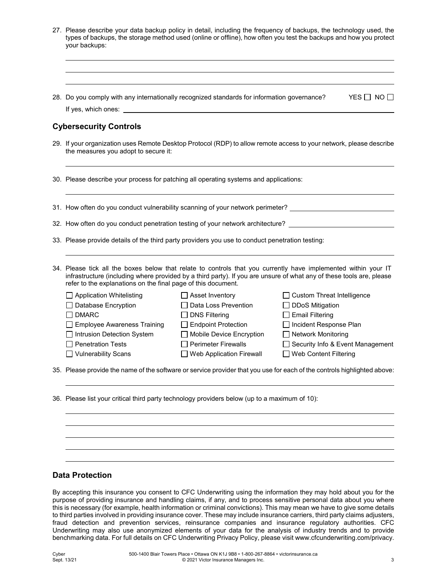|  | 27. Please describe your data backup policy in detail, including the frequency of backups, the technology used, the<br>types of backups, the storage method used (online or offline), how often you test the backups and how you protect<br>your backups:                                                                                                                                                                                                                                                                                                                                                |  |  |  |  |
|--|----------------------------------------------------------------------------------------------------------------------------------------------------------------------------------------------------------------------------------------------------------------------------------------------------------------------------------------------------------------------------------------------------------------------------------------------------------------------------------------------------------------------------------------------------------------------------------------------------------|--|--|--|--|
|  |                                                                                                                                                                                                                                                                                                                                                                                                                                                                                                                                                                                                          |  |  |  |  |
|  | 28. Do you comply with any internationally recognized standards for information governance?<br>YES NO                                                                                                                                                                                                                                                                                                                                                                                                                                                                                                    |  |  |  |  |
|  | <b>Cybersecurity Controls</b>                                                                                                                                                                                                                                                                                                                                                                                                                                                                                                                                                                            |  |  |  |  |
|  | 29. If your organization uses Remote Desktop Protocol (RDP) to allow remote access to your network, please describe<br>the measures you adopt to secure it:                                                                                                                                                                                                                                                                                                                                                                                                                                              |  |  |  |  |
|  | 30. Please describe your process for patching all operating systems and applications:                                                                                                                                                                                                                                                                                                                                                                                                                                                                                                                    |  |  |  |  |
|  | 31. How often do you conduct vulnerability scanning of your network perimeter? _____________________                                                                                                                                                                                                                                                                                                                                                                                                                                                                                                     |  |  |  |  |
|  | 32. How often do you conduct penetration testing of your network architecture?                                                                                                                                                                                                                                                                                                                                                                                                                                                                                                                           |  |  |  |  |
|  | 33. Please provide details of the third party providers you use to conduct penetration testing:                                                                                                                                                                                                                                                                                                                                                                                                                                                                                                          |  |  |  |  |
|  | 34. Please tick all the boxes below that relate to controls that you currently have implemented within your IT<br>infrastructure (including where provided by a third party). If you are unsure of what any of these tools are, please<br>refer to the explanations on the final page of this document.                                                                                                                                                                                                                                                                                                  |  |  |  |  |
|  | $\Box$ Application Whitelisting<br>$\Box$ Asset Inventory<br>□ Custom Threat Intelligence<br>□ Database Encryption<br>□ Data Loss Prevention<br>□ DDoS Mitigation<br><b>DMARC</b><br>$\Box$ Email Filtering<br>$\Box$ DNS Filtering<br>Endpoint Protection<br>□ Incident Response Plan<br>$\Box$ Employee Awareness Training<br>□ Intrusion Detection System<br>Mobile Device Encryption<br>□ Network Monitoring<br>$\Box$ Penetration Tests<br>$\Box$ Perimeter Firewalls<br>Security Info & Event Management<br><b>Vulnerability Scans</b><br><b>Web Application Firewall</b><br>Web Content Filtering |  |  |  |  |
|  | 35. Please provide the name of the software or service provider that you use for each of the controls highlighted above:                                                                                                                                                                                                                                                                                                                                                                                                                                                                                 |  |  |  |  |
|  | 36. Please list your critical third party technology providers below (up to a maximum of 10):                                                                                                                                                                                                                                                                                                                                                                                                                                                                                                            |  |  |  |  |
|  |                                                                                                                                                                                                                                                                                                                                                                                                                                                                                                                                                                                                          |  |  |  |  |
|  |                                                                                                                                                                                                                                                                                                                                                                                                                                                                                                                                                                                                          |  |  |  |  |
|  |                                                                                                                                                                                                                                                                                                                                                                                                                                                                                                                                                                                                          |  |  |  |  |

# **Data Protection**

By accepting this insurance you consent to CFC Underwriting using the information they may hold about you for the purpose of providing insurance and handling claims, if any, and to process sensitive personal data about you where this is necessary (for example, health information or criminal convictions). This may mean we have to give some details to third parties involved in providing insurance cover. These may include insurance carriers, third party claims adjusters, fraud detection and prevention services, reinsurance companies and insurance regulatory authorities. CFC Underwriting may also use anonymized elements of your data for the analysis of industry trends and to provide benchmarking data. For full details on CFC Underwriting Privacy Policy, please visit www.cfcunderwriting.com/privacy.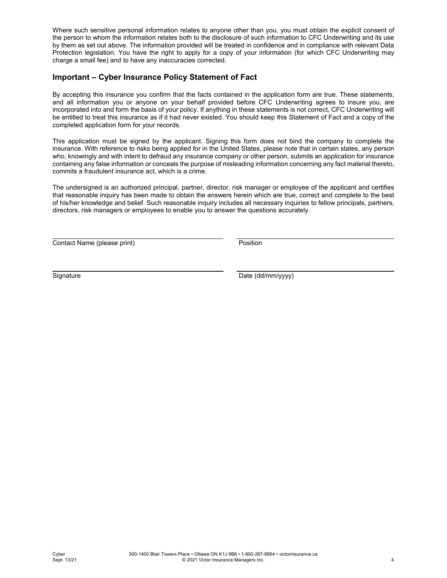Where such sensitive personal information relates to anyone other than you, you must obtain the explicit consent of the person to whom the information relates both to the disclosure of such information to CFC Underwriting and its use by them as set out above. The information provided will be treated in confidence and in compliance with relevant Data Protection legislation. You have the right to apply for a copy of your information (for which CFC Underwriting may charge a small fee) and to have any inaccuracies corrected.

## **Important – Cyber Insurance Policy Statement of Fact**

By accepting this insurance you confirm that the facts contained in the application form are true. These statements, and all information you or anyone on your behalf provided before CFC Underwriting agrees to insure you, are incorporated into and form the basis of your policy. If anything in these statements is not correct, CFC Underwriting will be entitled to treat this insurance as if it had never existed. You should keep this Statement of Fact and a copy of the completed application form for your records.

This application must be signed by the applicant. Signing this form does not bind the company to complete the insurance. With reference to risks being applied for in the United States, please note that in certain states, any person who, knowingly and with intent to defraud any insurance company or other person, submits an application for insurance containing any false information or conceals the purpose of misleading information concerning any fact material thereto, commits a fraudulent insurance act, which is a crime.

The undersigned is an authorized principal, partner, director, risk manager or employee of the applicant and certifies that reasonable inquiry has been made to obtain the answers herein which are true, correct and complete to the best of his/her knowledge and belief. Such reasonable inquiry includes all necessary inquiries to fellow principals, partners, directors, risk managers or employees to enable you to answer the questions accurately.

Contact Name (please print) example a principle of the Position

Signature Date (dd/mm/yyyy)